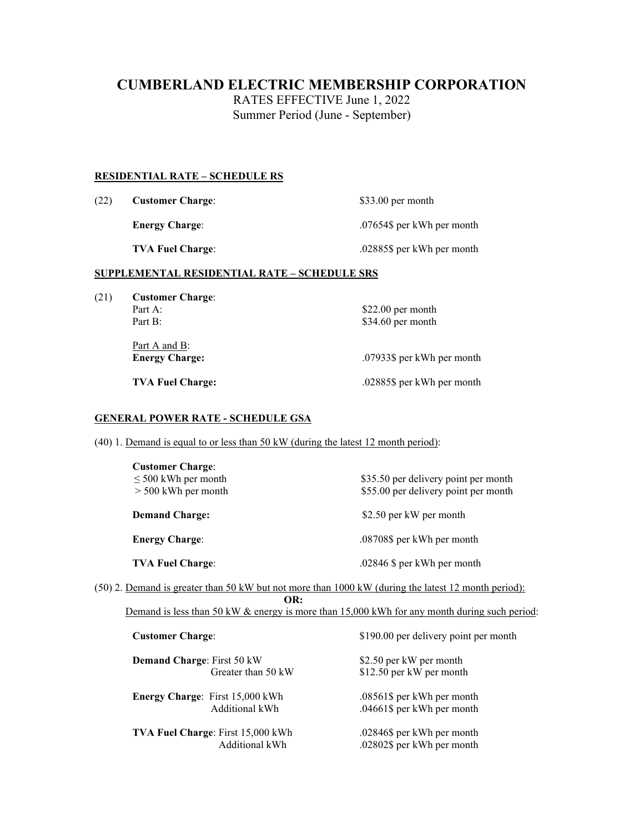# **CUMBERLAND ELECTRIC MEMBERSHIP CORPORATION**

RATES EFFECTIVE June 1, 2022 Summer Period (June - September)

#### **RESIDENTIAL RATE – SCHEDULE RS**

| (22) | <b>Customer Charge:</b> | $$33.00$ per month         |  |
|------|-------------------------|----------------------------|--|
|      | <b>Energy Charge:</b>   | .07654\$ per kWh per month |  |
|      | <b>TVA Fuel Charge:</b> | .02885\$ per kWh per month |  |

### **SUPPLEMENTAL RESIDENTIAL RATE – SCHEDULE SRS**

- (21) **Customer Charge**:
	- Part A: \$22.00 per month<br>Part B: \$34.60 per month

Part A and B: **Energy Charge:** .07933\$ per kWh per month

\$34.60 per month

**TVA Fuel Charge:** .02885\$ per kWh per month

### **GENERAL POWER RATE - SCHEDULE GSA**

(40) 1. Demand is equal to or less than 50 kW (during the latest 12 month period):

| <b>Customer Charge:</b><br>$\leq 500$ kWh per month<br>$>$ 500 kWh per month | \$35.50 per delivery point per month<br>\$55.00 per delivery point per month |  |
|------------------------------------------------------------------------------|------------------------------------------------------------------------------|--|
| <b>Demand Charge:</b>                                                        | \$2.50 per kW per month                                                      |  |
| <b>Energy Charge:</b>                                                        | .08708\$ per kWh per month                                                   |  |
| <b>TVA Fuel Charge:</b>                                                      | $.02846$ \$ per kWh per month                                                |  |

(50) 2. Demand is greater than 50 kW but not more than 1000 kW (during the latest 12 month period): **OR:**

Demand is less than 50 kW & energy is more than 15,000 kWh for any month during such period:

| <b>Customer Charge:</b> |                                        | \$190.00 per delivery point per month |  |  |
|-------------------------|----------------------------------------|---------------------------------------|--|--|
|                         | <b>Demand Charge: First 50 kW</b>      | \$2.50 per kW per month               |  |  |
|                         | Greater than 50 kW                     | \$12.50 per kW per month              |  |  |
|                         | <b>Energy Charge:</b> First 15,000 kWh | .08561\$ per kWh per month            |  |  |
|                         | Additional kWh                         | .04661\$ per kWh per month            |  |  |
|                         | TVA Fuel Charge: First 15,000 kWh      | .02846\$ per kWh per month            |  |  |
|                         | Additional kWh                         | .02802\$ per kWh per month            |  |  |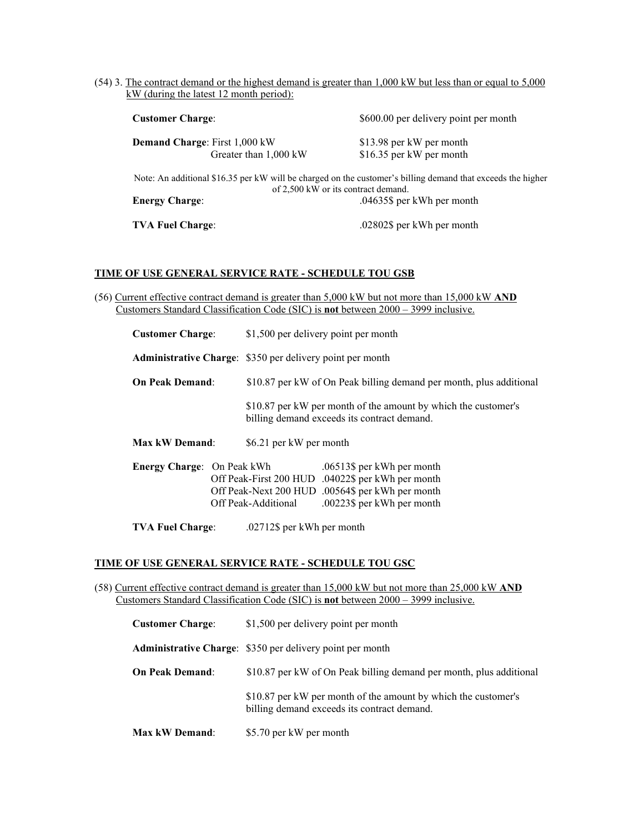(54) 3. The contract demand or the highest demand is greater than 1,000 kW but less than or equal to 5,000 kW (during the latest 12 month period):

| <b>Customer Charge:</b>              |                       | \$600.00 per delivery point per month                                                                                                              |  |  |
|--------------------------------------|-----------------------|----------------------------------------------------------------------------------------------------------------------------------------------------|--|--|
| <b>Demand Charge: First 1,000 kW</b> |                       | \$13.98 per kW per month                                                                                                                           |  |  |
|                                      | Greater than 1,000 kW | \$16.35 per kW per month                                                                                                                           |  |  |
|                                      |                       | Note: An additional \$16.35 per kW will be charged on the customer's billing demand that exceeds the higher<br>of 2,500 kW or its contract demand. |  |  |
| <b>Energy Charge:</b>                |                       | .04635\$ per kWh per month                                                                                                                         |  |  |
| <b>TVA Fuel Charge:</b>              |                       | .02802\$ per kWh per month                                                                                                                         |  |  |

#### **TIME OF USE GENERAL SERVICE RATE - SCHEDULE TOU GSB**

(56) Current effective contract demand is greater than 5,000 kW but not more than 15,000 kW **AND** Customers Standard Classification Code (SIC) is **not** between 2000 – 3999 inclusive.

| <b>Customer Charge:</b>                                          |  |                                                                     | \$1,500 per delivery point per month                                                                                                                              |
|------------------------------------------------------------------|--|---------------------------------------------------------------------|-------------------------------------------------------------------------------------------------------------------------------------------------------------------|
| <b>Administrative Charge:</b> \$350 per delivery point per month |  |                                                                     |                                                                                                                                                                   |
| <b>On Peak Demand:</b>                                           |  | \$10.87 per kW of On Peak billing demand per month, plus additional |                                                                                                                                                                   |
|                                                                  |  |                                                                     | \$10.87 per kW per month of the amount by which the customer's<br>billing demand exceeds its contract demand.                                                     |
| <b>Max kW Demand:</b>                                            |  | \$6.21 per kW per month                                             |                                                                                                                                                                   |
| <b>Energy Charge:</b> On Peak kWh<br>Off Peak-Additional         |  |                                                                     | .06513\$ per kWh per month<br>Off Peak-First 200 HUD .04022\$ per kWh per month<br>Off Peak-Next 200 HUD .00564\$ per kWh per month<br>.00223\$ per kWh per month |

**TVA Fuel Charge**: .02712\$ per kWh per month

#### **TIME OF USE GENERAL SERVICE RATE - SCHEDULE TOU GSC**

(58) Current effective contract demand is greater than 15,000 kW but not more than 25,000 kW **AND** Customers Standard Classification Code (SIC) is **not** between 2000 – 3999 inclusive.

| <b>Customer Charge:</b> | \$1,500 per delivery point per month                                                                          |
|-------------------------|---------------------------------------------------------------------------------------------------------------|
|                         | <b>Administrative Charge:</b> \$350 per delivery point per month                                              |
| <b>On Peak Demand:</b>  | \$10.87 per kW of On Peak billing demand per month, plus additional                                           |
|                         | \$10.87 per kW per month of the amount by which the customer's<br>billing demand exceeds its contract demand. |
| <b>Max kW Demand:</b>   | \$5.70 per kW per month                                                                                       |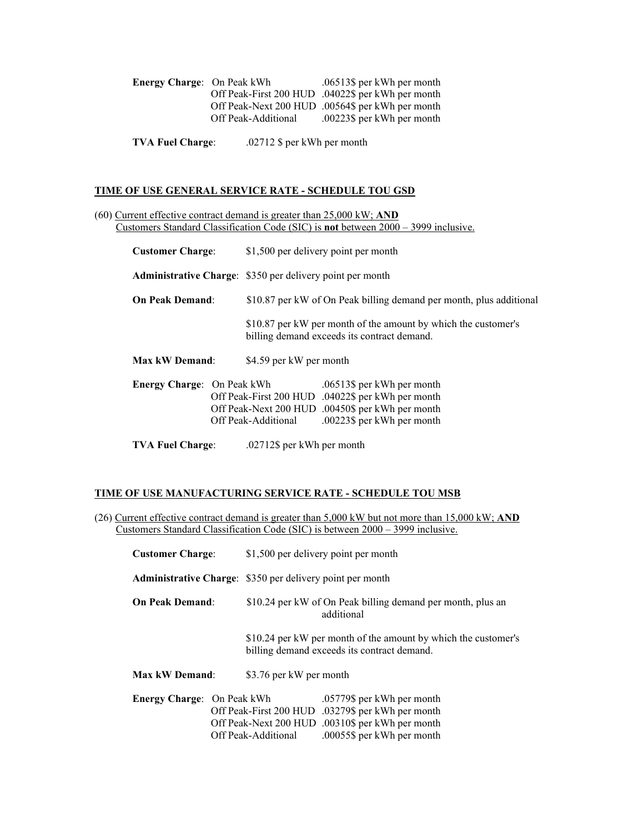| <b>Energy Charge: On Peak kWh</b> |                     | .06513\$ per kWh per month                        |
|-----------------------------------|---------------------|---------------------------------------------------|
|                                   |                     | Off Peak-First 200 HUD .04022\$ per kWh per month |
|                                   |                     | Off Peak-Next 200 HUD .00564\$ per kWh per month  |
|                                   | Off Peak-Additional | .00223\$ per kWh per month                        |

**TVA Fuel Charge**: .02712 \$ per kWh per month

### **TIME OF USE GENERAL SERVICE RATE - SCHEDULE TOU GSD**

(60) Current effective contract demand is greater than 25,000 kW; **AND** Customers Standard Classification Code (SIC) is **not** between 2000 – 3999 inclusive.

| <b>Customer Charge:</b>                                          |  | \$1,500 per delivery point per month                                |                                                                                                                                                                   |  |
|------------------------------------------------------------------|--|---------------------------------------------------------------------|-------------------------------------------------------------------------------------------------------------------------------------------------------------------|--|
| <b>Administrative Charge:</b> \$350 per delivery point per month |  |                                                                     |                                                                                                                                                                   |  |
| <b>On Peak Demand:</b>                                           |  | \$10.87 per kW of On Peak billing demand per month, plus additional |                                                                                                                                                                   |  |
|                                                                  |  |                                                                     | \$10.87 per kW per month of the amount by which the customer's<br>billing demand exceeds its contract demand.                                                     |  |
| <b>Max kW Demand:</b>                                            |  | \$4.59 per kW per month                                             |                                                                                                                                                                   |  |
| <b>Energy Charge:</b> On Peak kWh                                |  | Off Peak-Additional                                                 | .06513\$ per kWh per month<br>Off Peak-First 200 HUD .04022\$ per kWh per month<br>Off Peak-Next 200 HUD .00450\$ per kWh per month<br>.00223\$ per kWh per month |  |
| <b>TVA Fuel Charge:</b>                                          |  | .02712\$ per kWh per month                                          |                                                                                                                                                                   |  |

#### **TIME OF USE MANUFACTURING SERVICE RATE - SCHEDULE TOU MSB**

(26) Current effective contract demand is greater than 5,000 kW but not more than 15,000 kW; **AND** Customers Standard Classification Code (SIC) is between 2000 – 3999 inclusive.

| <b>Customer Charge:</b>                                          |  |                                                                           | \$1,500 per delivery point per month                                                                                                                              |
|------------------------------------------------------------------|--|---------------------------------------------------------------------------|-------------------------------------------------------------------------------------------------------------------------------------------------------------------|
| <b>Administrative Charge:</b> \$350 per delivery point per month |  |                                                                           |                                                                                                                                                                   |
| <b>On Peak Demand:</b>                                           |  | \$10.24 per kW of On Peak billing demand per month, plus an<br>additional |                                                                                                                                                                   |
|                                                                  |  |                                                                           | \$10.24 per kW per month of the amount by which the customer's<br>billing demand exceeds its contract demand.                                                     |
| <b>Max kW Demand:</b>                                            |  | \$3.76 per kW per month                                                   |                                                                                                                                                                   |
| Energy Charge: On Peak kWh                                       |  | Off Peak-Additional                                                       | .05779\$ per kWh per month<br>Off Peak-First 200 HUD .03279\$ per kWh per month<br>Off Peak-Next 200 HUD .00310\$ per kWh per month<br>.00055\$ per kWh per month |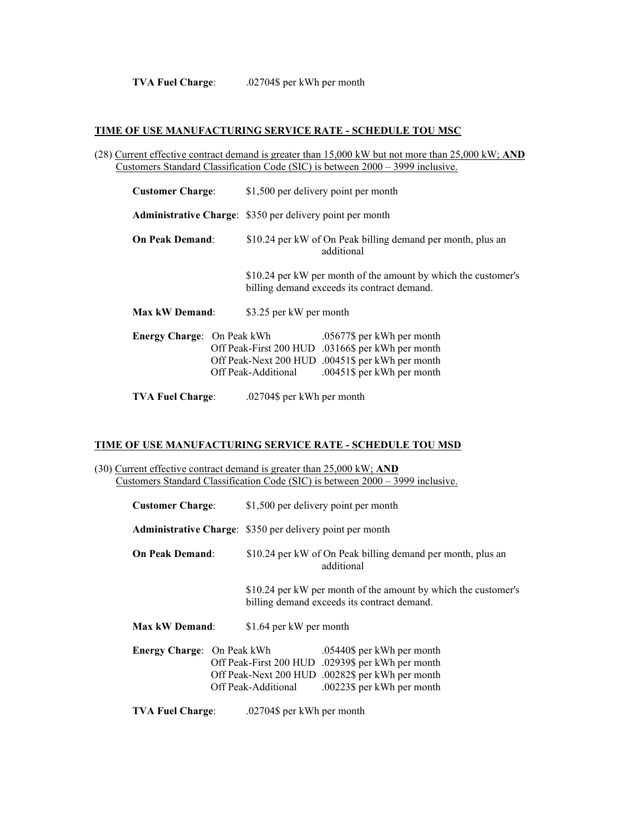**TVA Fuel Charge**: .02704\$ per kWh per month

#### **TIME OF USE MANUFACTURING SERVICE RATE - SCHEDULE TOU MSC**

(28) Current effective contract demand is greater than 15,000 kW but not more than 25,000 kW; **AND** Customers Standard Classification Code (SIC) is between 2000 – 3999 inclusive.

| <b>Customer Charge:</b>           |  |                                                                           | \$1,500 per delivery point per month                                                                                                                              |  |
|-----------------------------------|--|---------------------------------------------------------------------------|-------------------------------------------------------------------------------------------------------------------------------------------------------------------|--|
|                                   |  | <b>Administrative Charge:</b> \$350 per delivery point per month          |                                                                                                                                                                   |  |
| <b>On Peak Demand:</b>            |  | \$10.24 per kW of On Peak billing demand per month, plus an<br>additional |                                                                                                                                                                   |  |
|                                   |  |                                                                           | \$10.24 per kW per month of the amount by which the customer's<br>billing demand exceeds its contract demand.                                                     |  |
| Max kW Demand:                    |  | \$3.25 per kW per month                                                   |                                                                                                                                                                   |  |
| <b>Energy Charge:</b> On Peak kWh |  | Off Peak-Additional                                                       | .05677\$ per kWh per month<br>Off Peak-First 200 HUD .03166\$ per kWh per month<br>Off Peak-Next 200 HUD .00451\$ per kWh per month<br>.00451\$ per kWh per month |  |
| <b>TVA Fuel Charge:</b>           |  | .02704\$ per kWh per month                                                |                                                                                                                                                                   |  |

#### **TIME OF USE MANUFACTURING SERVICE RATE - SCHEDULE TOU MSD**

(30) Current effective contract demand is greater than 25,000 kW; **AND** Customers Standard Classification Code (SIC) is between 2000 – 3999 inclusive.

| <b>Customer Charge:</b>    |  |                                                                                                               | \$1,500 per delivery point per month                                                                                                                              |  |
|----------------------------|--|---------------------------------------------------------------------------------------------------------------|-------------------------------------------------------------------------------------------------------------------------------------------------------------------|--|
|                            |  | <b>Administrative Charge:</b> \$350 per delivery point per month                                              |                                                                                                                                                                   |  |
| <b>On Peak Demand:</b>     |  |                                                                                                               | \$10.24 per kW of On Peak billing demand per month, plus an<br>additional                                                                                         |  |
|                            |  | \$10.24 per kW per month of the amount by which the customer's<br>billing demand exceeds its contract demand. |                                                                                                                                                                   |  |
| <b>Max kW Demand:</b>      |  | \$1.64 per kW per month                                                                                       |                                                                                                                                                                   |  |
| Energy Charge: On Peak kWh |  | Off Peak-Additional                                                                                           | .05440\$ per kWh per month<br>Off Peak-First 200 HUD .02939\$ per kWh per month<br>Off Peak-Next 200 HUD .00282\$ per kWh per month<br>.00223\$ per kWh per month |  |
| <b>TVA Fuel Charge:</b>    |  | .02704\$ per kWh per month                                                                                    |                                                                                                                                                                   |  |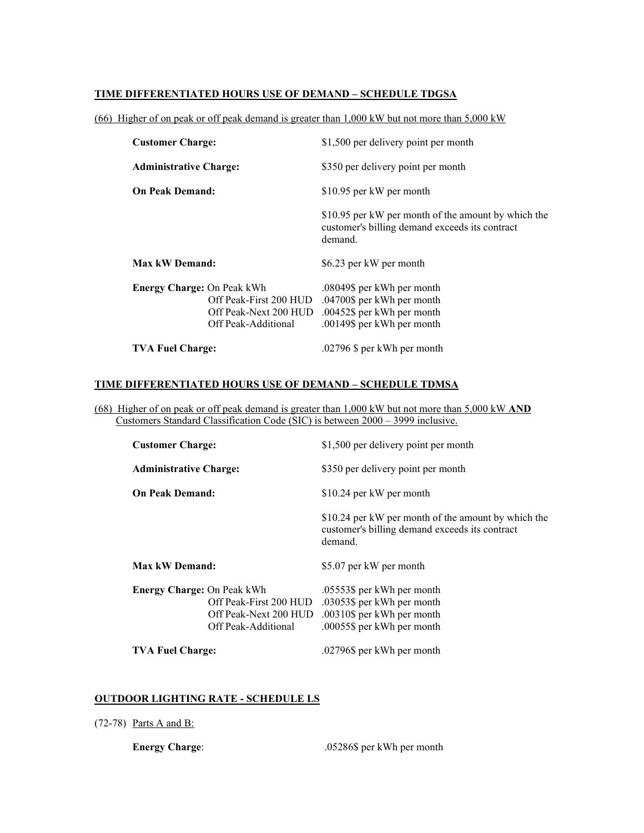#### **TIME DIFFERENTIATED HOURS USE OF DEMAND – SCHEDULE TDGSA**

(66) Higher of on peak or off peak demand is greater than 1,000 kW but not more than 5,000 kW

| <b>Customer Charge:</b>           |                                                                        | \$1,500 per delivery point per month                                                                                 |
|-----------------------------------|------------------------------------------------------------------------|----------------------------------------------------------------------------------------------------------------------|
| <b>Administrative Charge:</b>     |                                                                        | \$350 per delivery point per month                                                                                   |
| <b>On Peak Demand:</b>            |                                                                        | \$10.95 per kW per month                                                                                             |
|                                   |                                                                        | \$10.95 per kW per month of the amount by which the<br>customer's billing demand exceeds its contract<br>demand.     |
| Max kW Demand:                    |                                                                        | \$6.23 per kW per month                                                                                              |
| <b>Energy Charge: On Peak kWh</b> | Off Peak-First 200 HUD<br>Off Peak-Next 200 HUD<br>Off Peak-Additional | .08049\$ per kWh per month<br>.04700\$ per kWh per month<br>.00452\$ per kWh per month<br>.00149\$ per kWh per month |
| <b>TVA Fuel Charge:</b>           |                                                                        | .02796 \$ per kWh per month                                                                                          |

## **TIME DIFFERENTIATED HOURS USE OF DEMAND – SCHEDULE TDMSA**

(68) Higher of on peak or off peak demand is greater than 1,000 kW but not more than 5,000 kW **AND** Customers Standard Classification Code (SIC) is between 2000 – 3999 inclusive.

| <b>Customer Charge:</b>           |                                                                        | \$1,500 per delivery point per month                                                                                 |  |
|-----------------------------------|------------------------------------------------------------------------|----------------------------------------------------------------------------------------------------------------------|--|
| <b>Administrative Charge:</b>     |                                                                        | \$350 per delivery point per month                                                                                   |  |
| <b>On Peak Demand:</b>            |                                                                        | \$10.24 per kW per month                                                                                             |  |
|                                   |                                                                        | \$10.24 per kW per month of the amount by which the<br>customer's billing demand exceeds its contract<br>demand.     |  |
| Max kW Demand:                    |                                                                        | \$5.07 per kW per month                                                                                              |  |
| <b>Energy Charge: On Peak kWh</b> | Off Peak-First 200 HUD<br>Off Peak-Next 200 HUD<br>Off Peak-Additional | .05553\$ per kWh per month<br>.03053\$ per kWh per month<br>.00310\$ per kWh per month<br>.00055\$ per kWh per month |  |
| <b>TVA Fuel Charge:</b>           |                                                                        | .02796\$ per kWh per month                                                                                           |  |

### **OUTDOOR LIGHTING RATE - SCHEDULE LS**

(72-78) Parts A and B:

**Energy Charge:** .05286\$ per kWh per month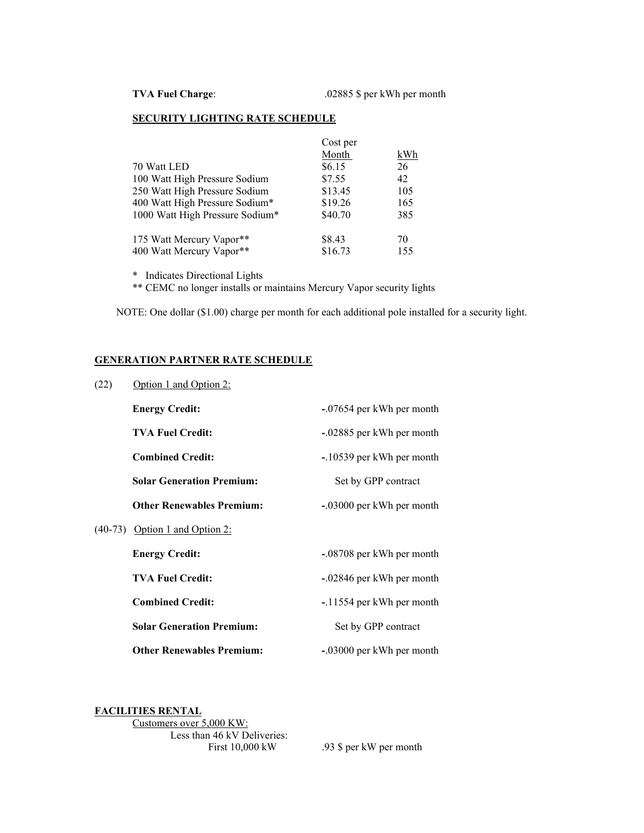#### **SECURITY LIGHTING RATE SCHEDULE**

|                                 | Cost per |     |
|---------------------------------|----------|-----|
|                                 | Month    | kWh |
| 70 Watt LED                     | \$6.15   | 26  |
| 100 Watt High Pressure Sodium   | \$7.55   | 42  |
| 250 Watt High Pressure Sodium   | \$13.45  | 105 |
| 400 Watt High Pressure Sodium*  | \$19.26  | 165 |
| 1000 Watt High Pressure Sodium* | \$40.70  | 385 |
| 175 Watt Mercury Vapor**        | \$8.43   | 70  |
| 400 Watt Mercury Vapor**        | \$16.73  | 155 |
|                                 |          |     |

\* Indicates Directional Lights

\*\* CEMC no longer installs or maintains Mercury Vapor security lights

NOTE: One dollar (\$1.00) charge per month for each additional pole installed for a security light.

#### **GENERATION PARTNER RATE SCHEDULE**

| (22) | Option 1 and Option 2:           |                           |  |  |
|------|----------------------------------|---------------------------|--|--|
|      | <b>Energy Credit:</b>            | -.07654 per kWh per month |  |  |
|      | <b>TVA Fuel Credit:</b>          | -.02885 per kWh per month |  |  |
|      | <b>Combined Credit:</b>          | -.10539 per kWh per month |  |  |
|      | <b>Solar Generation Premium:</b> | Set by GPP contract       |  |  |
|      | <b>Other Renewables Premium:</b> | -.03000 per kWh per month |  |  |
|      | $(40-73)$ Option 1 and Option 2: |                           |  |  |
|      | <b>Energy Credit:</b>            | -.08708 per kWh per month |  |  |
|      | <b>TVA Fuel Credit:</b>          | -.02846 per kWh per month |  |  |
|      | <b>Combined Credit:</b>          | -.11554 per kWh per month |  |  |
|      | <b>Solar Generation Premium:</b> | Set by GPP contract       |  |  |
|      | <b>Other Renewables Premium:</b> | -.03000 per kWh per month |  |  |

#### **FACILITIES RENTAL**

Customers over 5,000 KW: Less than 46 kV Deliveries: First 10,000 kW .93 \$ per kW per month